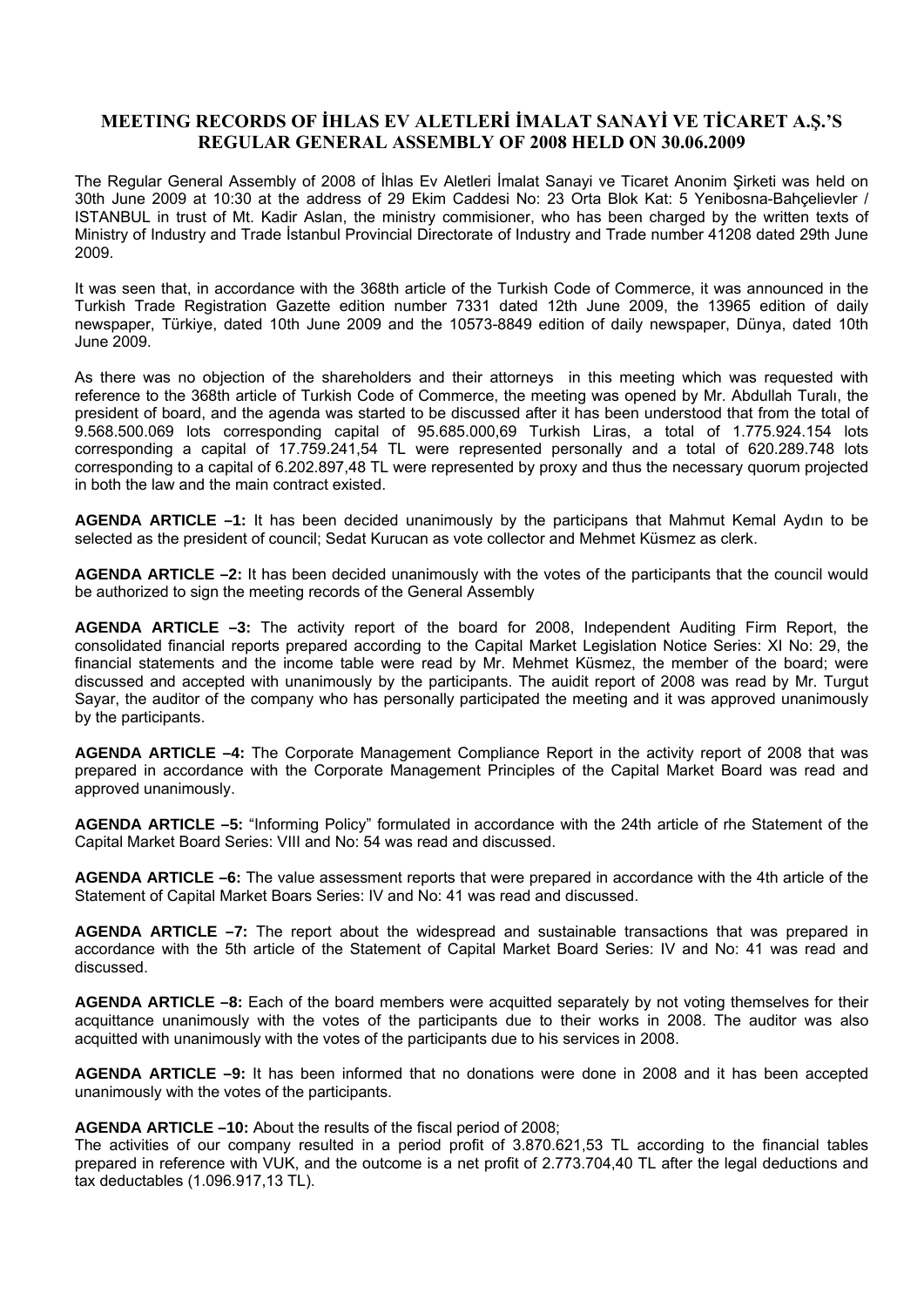## **MEETING RECORDS OF İHLAS EV ALETLERİ İMALAT SANAYİ VE TİCARET A.Ş.'S REGULAR GENERAL ASSEMBLY OF 2008 HELD ON 30.06.2009**

The Regular General Assembly of 2008 of İhlas Ev Aletleri İmalat Sanayi ve Ticaret Anonim Şirketi was held on 30th June 2009 at 10:30 at the address of 29 Ekim Caddesi No: 23 Orta Blok Kat: 5 Yenibosna-Bahçelievler / ISTANBUL in trust of Mt. Kadir Aslan, the ministry commisioner, who has been charged by the written texts of Ministry of Industry and Trade İstanbul Provincial Directorate of Industry and Trade number 41208 dated 29th June 2009.

It was seen that, in accordance with the 368th article of the Turkish Code of Commerce, it was announced in the Turkish Trade Registration Gazette edition number 7331 dated 12th June 2009, the 13965 edition of daily newspaper, Türkiye, dated 10th June 2009 and the 10573-8849 edition of daily newspaper, Dünya, dated 10th June 2009.

As there was no objection of the shareholders and their attorneys in this meeting which was requested with reference to the 368th article of Turkish Code of Commerce, the meeting was opened by Mr. Abdullah Turalı, the president of board, and the agenda was started to be discussed after it has been understood that from the total of 9.568.500.069 lots corresponding capital of 95.685.000,69 Turkish Liras, a total of 1.775.924.154 lots corresponding a capital of 17.759.241,54 TL were represented personally and a total of 620.289.748 lots corresponding to a capital of 6.202.897,48 TL were represented by proxy and thus the necessary quorum projected in both the law and the main contract existed.

**AGENDA ARTICLE –1:** It has been decided unanimously by the participans that Mahmut Kemal Aydın to be selected as the president of council; Sedat Kurucan as vote collector and Mehmet Küsmez as clerk.

**AGENDA ARTICLE –2:** It has been decided unanimously with the votes of the participants that the council would be authorized to sign the meeting records of the General Assembly

**AGENDA ARTICLE –3:** The activity report of the board for 2008, Independent Auditing Firm Report, the consolidated financial reports prepared according to the Capital Market Legislation Notice Series: XI No: 29, the financial statements and the income table were read by Mr. Mehmet Küsmez, the member of the board; were discussed and accepted with unanimously by the participants. The auidit report of 2008 was read by Mr. Turgut Sayar, the auditor of the company who has personally participated the meeting and it was approved unanimously by the participants.

**AGENDA ARTICLE –4:** The Corporate Management Compliance Report in the activity report of 2008 that was prepared in accordance with the Corporate Management Principles of the Capital Market Board was read and approved unanimously.

**AGENDA ARTICLE –5:** "Informing Policy" formulated in accordance with the 24th article of rhe Statement of the Capital Market Board Series: VIII and No: 54 was read and discussed.

**AGENDA ARTICLE –6:** The value assessment reports that were prepared in accordance with the 4th article of the Statement of Capital Market Boars Series: IV and No: 41 was read and discussed.

**AGENDA ARTICLE –7:** The report about the widespread and sustainable transactions that was prepared in accordance with the 5th article of the Statement of Capital Market Board Series: IV and No: 41 was read and discussed.

**AGENDA ARTICLE –8:** Each of the board members were acquitted separately by not voting themselves for their acquittance unanimously with the votes of the participants due to their works in 2008. The auditor was also acquitted with unanimously with the votes of the participants due to his services in 2008.

**AGENDA ARTICLE –9:** It has been informed that no donations were done in 2008 and it has been accepted unanimously with the votes of the participants.

## **AGENDA ARTICLE –10:** About the results of the fiscal period of 2008;

The activities of our company resulted in a period profit of 3.870.621,53 TL according to the financial tables prepared in reference with VUK, and the outcome is a net profit of 2.773.704,40 TL after the legal deductions and tax deductables (1.096.917,13 TL).